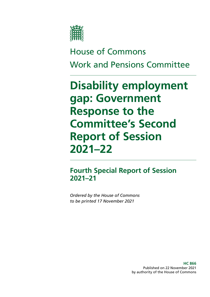

# House of Commons Work and Pensions Committee

# **Disability employment gap: Government Response to the Committee's Second Report of Session 2021–22**

# **Fourth Special Report of Session 2021–21**

*Ordered by the House of Commons to be printed 17 November 2021*

> **HC 866** Published on 22 November 2021 by authority of the House of Commons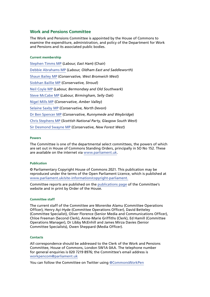# **Work and Pensions Committee**

The Work and Pensions Committee is appointed by the House of Commons to examine the expenditure, administration, and policy of the Department for Work and Pensions and its associated public bodies.

#### **Current membership**

[Stephen Timms MP](https://members.parliament.uk/member/163/contact) (*Labour, East Ham*) (Chair) [Debbie Abrahams MP](https://members.parliament.uk/member/4212/contact) (*Labour, Oldham East and Saddleworth*) [Shaun Bailey MP](https://members.parliament.uk/member/4757/contact) (*Conservative, West Bromwich West*) [Siobhan Baillie MP](https://members.parliament.uk/member/4847/contact) (*Conservative, Stroud*) [Neil Coyle MP](https://members.parliament.uk/member/4368/contact) (*Labour, Bermondsey and Old Southwark*) [Steve McCabe MP](https://www.parliament.uk/biographies/commons/steve-mccabe/298) (*Labour, Birmingham, Selly Oak*) [Nigel Mills MP](https://www.parliament.uk/biographies/commons/nigel-mills/4136) (*Conservative, Amber Valley*) [Selaine Saxby MP](https://members.parliament.uk/member/4863/contact) (*Conservative, North Devon*) [Dr Ben Spencer MP](https://members.parliament.uk/member/4785/contact) (*Conservative, Runnymede and Weybridge*) [Chris Stephens MP](https://members.parliament.uk/member/4463/contact) (*Scottish National Party, Glasgow South West*) [Sir Desmond Swayne MP](https://members.parliament.uk/member/55/contact) (*Conservative, New Forest West*)

#### **Powers**

The Committee is one of the departmental select committees, the powers of which are set out in House of Commons Standing Orders, principally in SO No 152. These are available on the internet via [www.parliament.uk.](https://www.parliament.uk/)

#### **Publication**

© Parliamentary Copyright House of Commons 2021. This publication may be reproduced under the terms of the Open Parliament Licence, which is published at [www.parliament.uk/site-information/copyright-parliament.](http://www.parliament.uk/site-information/copyright-parliament)

Committee reports are published on the [publications page](https://committees.parliament.uk/work/953/children-in-poverty-measurement-and-targets/publications/) of the Committee's website and in print by Order of the House.

#### **Committee staff**

The current staff of the Committee are Morenike Alamu (Committee Operations Officer), Henry Ayi-Hyde (Committee Operations Officer), David Betteley (Committee Specialist), Oliver Florence (Senior Media and Communications Officer), Chloe Freeman (Second Clerk), Anne-Marie Griffiths (Clerk), Ed Hamill (Committee Operations Manager), Dr Libby McEnhill and James Mirza Davies (Senior Committee Specialists), Owen Sheppard (Media Officer).

#### **Contacts**

All correspondence should be addressed to the Clerk of the Work and Pensions Committee, House of Commons, London SW1A 0AA. The telephone number for general enquiries is 020 7219 8976; the Committee's email address is [workpencom@parliament.uk](mailto:workpencom%40parliament.uk?subject=)

You can follow the Committee on Twitter using [@CommonsWorkPen](https://twitter.com/CommonsWorkPen)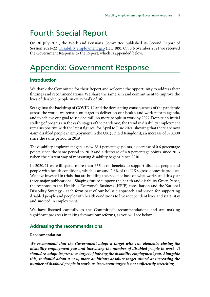# Fourth Special Report

On 30 July 2021, the Work and Pensions Committee published its Second Report of Session 2021–22, [Disability employment gap](https://publications.parliament.uk/pa/cm5802/cmselect/cmworpen/189/18902.htm) (HC 189). On 5 November 2021 we received the Government Response to the Report, which is appended below.

# Appendix: Government Response

# **Introduction**

We thank the Committee for their Report and welcome the opportunity to address their findings and recommendations. We share the same aim and commitment to improve the lives of disabled people in every walk of life.

Set against the backdrop of COVID-19 and the devastating consequences of the pandemic across the world, we remain on target to deliver on our health and work reform agenda, and to achieve our goal to see one million more people in work by 2027. Despite an initial stalling of progress in the early stages of the pandemic, the trend in disability employment remains positive with the latest figures, for April to June 2021, showing that there are now 4.4m disabled people in employment in the UK (United Kingdom), an increase of 390,000 since the same period in 2019.

The disability employment gap is now 28.4 percentage points, a decrease of 0.6 percentage points since the same period in 2019 and a decrease of 4.8 percentage points since 2013 (when the current way of measuring disability began). since 2010.

In 2020/21 we will spend more than £55bn on benefits to support disabled people and people with health conditions, which is around 2.6% of the UK's gross domestic product. We have invested in trials that are building the evidence base on what works, and this year three major publications - Shaping future support: the health and disability Green Paper, the response to the Health is Everyone's Business (HEIB) consultation and the National Disability Strategy - each form part of our holistic approach and vision for supporting disabled people and people with health conditions to live independent lives and start, stay and succeed in employment.

We have listened carefully to the Committee's recommendations and are making significant progress in taking forward our reforms, as you will see below.

# **Addressing the recommendations**

#### **Recommendation**

*We recommend that the Government adopt a target with two elements: closing the disability employment gap and increasing the number of disabled people in work. It should re-adopt its previous target of halving the disability employment gap. Alongside this, it should adopt a new, more ambitious absolute target aimed at increasing the number of disabled people in work, as its current target is not sufficiently stretching.*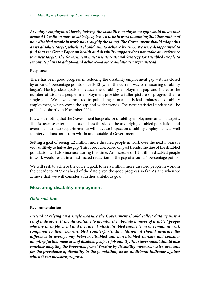*At today's employment levels, halving the disability employment gap would mean that around 1.2 million more disabled people need to be in work (assuming that the number of non-disabled people in work stays roughly the same). The Government should adopt this as its absolute target, which it should aim to achieve by 2027. We were disappointed to find that the Green Paper on health and disability support does not make any reference to a new target. The Government must use its National Strategy for Disabled People to set out its plans to adopt—and achieve—a more ambitious target instead.*

#### **Response**

There has been good progress in reducing the disability employment gap – it has closed by around 5 percentage points since 2013 (when the current way of measuring disability began). Having clear goals to reduce the disability employment gap and increase the number of disabled people in employment provides a fuller picture of progress than a single goal. We have committed to publishing annual statistical updates on disability employment, which cover the gap and wider trends. The next statistical update will be published shortly in November 2021.

It is worth noting that the Government has goals for disability employment and not targets. This is because external factors such as the size of the underlying disabled population and overall labour market performance will have an impact on disability employment, as well as interventions both from within and outside of Government.

Setting a goal of seeing 1.2 million more disabled people in work over the next 5 years is very unlikely to halve the gap. This is because, based on past trends, the size of the disabled population will also increase during this time. An increase of 1.2 million disabled people in work would result in an estimated reduction in the gap of around 5 percentage points.

We will seek to achieve the current goal, to see a million more disabled people in work in the decade to 2027 or ahead of the date given the good progress so far. As and when we achieve that, we will consider a further ambitious goal.

# **Measuring disability employment**

#### *Data collation*

#### **Recommendation**

*Instead of relying on a single measure the Government should collect data against a set of indicators. It should continue to monitor the absolute number of disabled people who are in employment and the rate at which disabled people leave or remain in work compared to their non-disabled counterparts. In addition, it should measure the difference in average pay between disabled and non-disabled workers and consider adopting further measures of disabled people's job quality. The Government should also consider adopting the Prevented from Working by Disability measure, which accounts for the prevalence of disability in the population, as an additional indicator against which it can measure progress.*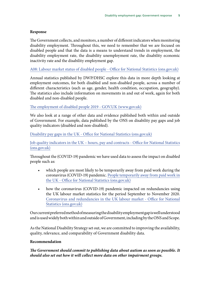The Government collects, and monitors, a number of different indicators when monitoring disability employment. Throughout this, we need to remember that we are focused on disabled people and that the data is a means to understand trends in employment, the disability employment rate, the disability unemployment rate, the disability economic inactivity rate and the disability employment gap.

[A08: Labour market status of disabled people - Office for National Statistics \(ons.gov.uk\)](https://www.ons.gov.uk/employmentandlabourmarket/peopleinwork/employmentandemployeetypes/datasets/labourmarketstatusofdisabledpeoplea08)

Annual statistics published by DWP/DHSC explore this data in more depth looking at employment outcomes, for both disabled and non-disabled people, across a number of different characteristics (such as age, gender, health condition, occupation, geography). The statistics also include information on movements in and out of work, again for both disabled and non-disabled people.

[The employment of disabled people 2019 - GOV.UK \(www.gov.uk\)](https://www.gov.uk/government/statistics/the-employment-of-disabled-people-2019)

We also look at a range of other data and evidence published both within and outside of Government. For example, data published by the ONS on disability pay gaps and job quality indicators (disabled and non-disabled).

[Disability pay gaps in the UK - Office for National Statistics \(ons.gov.uk\)](https://www.ons.gov.uk/peoplepopulationandcommunity/healthandsocialcare/disability/articles/disabilitypaygapsintheuk/2018)

[Job quality indicators in the UK – hours, pay and contracts - Office for National Statistics](https://www.ons.gov.uk/employmentandlabourmarket/peopleinwork/employmentandemployeetypes/articles/jobqualityindicatorsintheukhourspayandcontracts/2018) [\(ons.gov.uk\)](https://www.ons.gov.uk/employmentandlabourmarket/peopleinwork/employmentandemployeetypes/articles/jobqualityindicatorsintheukhourspayandcontracts/2018)

Throughout the (COVID-19) pandemic we have used data to assess the impact on disabled people such as:

- which people are most likely to be temporarily away from paid work during the coronavirus (COVID-19) pandemic. [People temporarily away from paid work in](https://www.ons.gov.uk/employmentandlabourmarket/peopleinwork/employmentandemployeetypes/articles/peopletemporarilyawayfrompaidworkintheuk/august2020) [the UK - Office for National S](https://www.ons.gov.uk/employmentandlabourmarket/peopleinwork/employmentandemployeetypes/articles/peopletemporarilyawayfrompaidworkintheuk/august2020)tatistics (ons.gov.uk)
- how the coronavirus (COVID-19) pandemic impacted on redundancies using the UK labour market statistics for the period September to November 2020. [Coronavirus and redundancies in the UK labour market - Office for National](https://www.ons.gov.uk/employmentandlabourmarket/peopleinwork/employmentandemployeetypes/articles/labourmarketeconomicanalysisquarterly/december2020) Statistics [\(ons.gov.uk](http://ons.gov.uk))

Our current preferred method of measuring the disability employment gap is well understood and is used widely both within and outside of Government, including by the ONS and Scope.

As the National Disability Strategy set out, we are committed to improving the availability, quality, relevance, and comparability of Government disability data.

#### **Recommendation**

*The Government should commit to publishing data about autism as soon as possible. It should also set out how it will collect more data on other impairment groups.*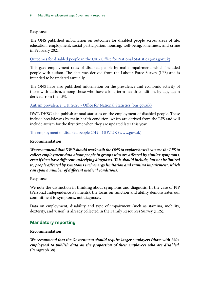The ONS published information on outcomes for disabled people across areas of life: education, employment, social participation, housing, well-being, loneliness, and crime in February 2021.

[Outcomes for disabled people in the UK - Office for National Statistics \(ons.gov.uk\)](https://www.ons.gov.uk/peoplepopulationandcommunity/healthandsocialcare/disability/articles/outcomesfordisabledpeopleintheuk/2020)

This gave employment rates of disabled people by main impairment, which included people with autism. The data was derived from the Labour Force Survey (LFS) and is intended to be updated annually.

The ONS have also published information on the prevalence and economic activity of those with autism, among those who have a long-term health condition, by age, again derived from the LFS.

#### [Autism prevalence, UK, 2020 - Office for National Statistics \(ons.gov.uk\)](https://www.beta.ons.gov.uk/peoplepopulationandcommunity/healthandsocialcare/disability/adhocs/13197autismprevalenceuk2020)

DWP/DHSC also publish annual statistics on the employment of disabled people. These include breakdowns by main health condition, which are derived from the LFS and will include autism for the first time when they are updated later this year.

[The employment of disabled people 2019 - GOV.UK \(www.gov.uk\)](https://www.gov.uk/government/statistics/the-employment-of-disabled-people-2019)

#### **Recommendation**

*We recommend that DWP should work with the ONS to explore how it can use the LFS to collect employment data about people in groups who are affected by similar symptoms, even if then have different underlying diagnoses. This should include, but not be limited to, people affected by symptoms such energy limitation and stamina impairment, which can span a number of different medical conditions.*

#### **Response**

We note the distinction in thinking about symptoms and diagnosis. In the case of PIP (Personal Independence Payments), the focus on function and ability demonstrates our commitment to symptoms, not diagnoses.

Data on employment, disability and type of impairment (such as stamina, mobility, dexterity, and vision) is already collected in the Family Resources Survey (FRS).

# **Mandatory reporting**

#### **Recommendation**

*We recommend that the Government should require larger employers (those with 250+ employees) to publish data on the proportion of their employees who are disabled.* (Paragraph 38)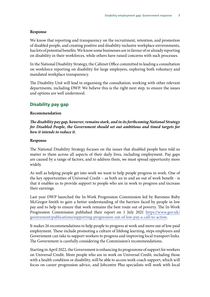We know that reporting and transparency on the recruitment, retention, and promotion of disabled people, and creating positive and disability inclusive workplace environments, has lots of potential benefits. We know some businesses are in favour of or already reporting on disability in their workforces, while others have raised concerns with such processes.

In the National Disability Strategy, the Cabinet Office committed to leading a consultation on workforce reporting on disability for large employers, exploring both voluntary and mandated workplace transparency.

The Disability Unit will lead in organising the consultation, working with other relevant departments, including DWP. We believe this is the right next step, to ensure the issues and options are well understood.

#### **Disability pay gap**

#### **Recommendation**

*The disability pay gap, however, remains stark, and in its forthcoming National Strategy for Disabled People, the Government should set out ambitious and timed targets for how it intends to reduce it.*

#### **Response**

The National Disability Strategy focuses on the issues that disabled people have told us matter to them across all aspects of their daily lives, including employment. Pay gaps are caused by a range of factors, and to address them, we must spread opportunity more widely.

As well as helping people get into work we want to help people progress in work. One of the key opportunities of Universal Credit – as both an in and an out of work benefit - is that it enables us to provide support to people who are in work to progress and increase their earnings.

Last year DWP launched the In-Work Progression Commission led by Baroness Ruby McGregor-Smith to gain a better understanding of the barriers faced by people in low pay and to help to ensure that work remains the best route out of poverty. The In-Work Progression Commission published their report on 1 July 2021 [https://www.gov.uk/](https://www.gov.uk/government/publications/supporting-progression-out-of-low-pay-a-call-to-action) [government/publications/supporting-progression-out-of-low-pay-a-call-to-action.](https://www.gov.uk/government/publications/supporting-progression-out-of-low-pay-a-call-to-action)

It makes 26 recommendations to help people to progress at work and move out of low paid employment. These include promoting a culture of lifelong learning, steps employers and Government can take to support workers to progress and improving local transport links. The Government is carefully considering the Commission's recommendations.

Starting in April 2022, the Government is enhancing its programme of support for workers on Universal Credit. More people who are in work on Universal Credit, including those with a health condition or disability, will be able to access work coach support, which will focus on career progression advice, and Jobcentre Plus specialists will work with local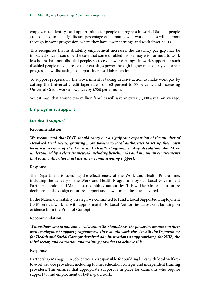employers to identify local opportunities for people to progress in work. Disabled people are expected to be a significant percentage of claimants who work coaches will support through in work progression, where they have lower earnings and work fewer hours.

This recognises that as disability employment increases, the disability pay gap may be impacted since it could be the case that some disabled people may wish or need to work less hours than non-disabled people, so receive lower earnings. In work support for such disabled people may increase their earnings power through higher rates of pay via career progression whilst acting to support increased job retention,

To support progression, the Government is taking decisive action to make work pay by cutting the Universal Credit taper rate from 63 percent to 55 percent, and increasing Universal Credit work allowances by £500 per annum.

We estimate that around two million families will save an extra £1,000 a year on average.

# **Employment support**

# *Localised support*

#### **Recommendation**

*We recommend that DWP should carry out a significant expansion of the number of Devolved Deal Areas, granting more powers to local authorities to set up their own localised version of the Work and Health Programme. Any devolution should be underpinned by a clear framework including benchmarks and minimum requirements that local authorities must use when commissioning support.*

#### **Response**

The Department is assessing the effectiveness of the Work and Health Programme, including the delivery of the Work and Health Programme by our Local Government Partners, London and Manchester combined authorities. This will help inform our future decisions on the design of future support and how it might best be delivered.

In the National Disability Strategy, we committed to fund a Local Supported Employment (LSE) service, working with approximately 20 Local Authorities across GB, building on evidence from the Proof of Concept.

#### **Recommendation**

*Where they want to and can, local authorities should have the power to commission their own employment support programmes. They should work closely with the Department for Health and Social Care (or devolved administrations as appropriate), the NHS, the third sector, and education and training providers to achieve this.*

#### **Response**

Partnership Managers in Jobcentres are responsible for building links with local welfareto-work service providers, including further education colleges and independent training providers. This ensures that appropriate support is in place for claimants who require support to find employment or better-paid work.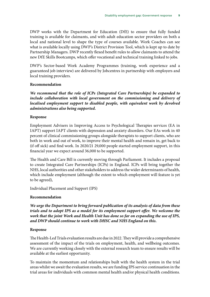DWP works with the Department for Education (DfE) to ensure that fully funded training is available for claimants, and with adult education sector providers on both a local and national level to shape the type of courses available. Work Coaches can see what is available locally using DWP's District Provision Tool, which is kept up to date by Partnership Managers. DWP recently flexed benefit rules to allow claimants to attend the new DfE Skills Bootcamps, which offer vocational and technical training linked to jobs.

DWP's Sector-based Work Academy Programmes (training, work experience and a guaranteed job interview) are delivered by Jobcentres in partnership with employers and local training providers.

#### **Recommendation**

*We recommend that the role of ICPs (Integrated Care Partnerships) be expanded to*  include collaboration with local government on the commissioning and delivery of *localised employment support to disabled people, with equivalent work by devolved administrations also being supported.*

#### **Response**

Employment Advisers in Improving Access to Psychological Therapies services (EA in IAPT) support IAPT clients with depression and anxiety disorders. Our EAs work in 40 percent of clinical commissioning groups alongside therapists to support clients, who are both in work and out of work, to improve their mental health and remain in, get back to (if off sick) and find work. In 2020/21 29,000 people started employment support, in this financial year we expect around 36,000 to be supported.

The Health and Care Bill is currently moving through Parliament. It includes a proposal to create Integrated Care Partnerships (ICPs) in England. ICPs will bring together the NHS, local authorities and other stakeholders to address the wider determinants of health, which include employment (although the extent to which employment will feature is yet to be agreed),

Individual Placement and Support (IPS)

#### **Recommendation**

*We urge the Department to bring forward publication of its analysis of data from these trials and to adopt IPS as a model for its employment support offer. We welcome the work that the joint Work and Health Unit has done so far on expanding the use of IPS, and DWP should continue to work with DHSC and NHS England on this.*

#### **Response**

The Health-Led Trials evaluation results are due in 2022. They will provide a comprehensive assessment of the impact of the trials on employment, health, and wellbeing outcomes. We are currently working closely with the external research team to ensure results will be available at the earliest opportunity.

To maintain the momentum and relationships built with the health system in the trial areas whilst we await the evaluation results, we are funding IPS service continuation in the trial areas for individuals with common mental health and/or physical health conditions.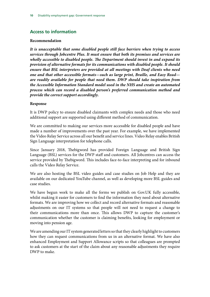# **Access to information**

#### **Recommendation**

*It is unacceptable that some disabled people still face barriers when trying to access services through Jobcentre Plus. It must ensure that both its premises and services are wholly accessible to disabled people. The Department should invest in and expand its provision of alternative formats for its communications with disabled people. It should ensure that BSL interpreters are provided at all meetings with Deaf clients who need one and that other accessible formats—such as large print, Braille, and Easy Read are readily available for people that need them. DWP should take inspiration from the Accessible Information Standard model used in the NHS and create an automated process which can record a disabled person's preferred communication method and provide the correct support accordingly.*

#### **Response**

It is DWP policy to ensure disabled claimants with complex needs and those who need additional support are supported using different method of communication.

We are committed to making our services more accessible for disabled people and have made a number of improvements over the past year. For example, we have implemented the Video Relay Service across all our benefit and service lines. Video Relay enables British Sign Language interpretation for telephone calls.

Since January 2018, Thebigword has provided Foreign Language and British Sign Language (BSL) services for the DWP staff and customers. All Jobcentres can access the service provided by Thebigword. This includes face-to-face interpreting and for inbound calls the Video Relay Service.

We are also hosting the BSL video guides and case studies on Job Help and they are available on our dedicated YouTube channel, as well as developing more BSL guides and case studies.

We have begun work to make all the forms we publish on Gov.UK fully accessible, whilst making it easier for customers to find the information they need about alternative formats. We are improving how we collect and record alternative formats and reasonable adjustments on our IT systems so that people will not need to request a change to their communications more than once. This allows DWP to capture the customer's communication whether the customer is claiming benefits, looking for employment or moving into pension age.

We are amending our IT system generated letters so that they clearly highlight to customers how they can request communications from us in an alternative format. We have also enhanced Employment and Support Allowance scripts so that colleagues are prompted to ask customers at the start of the claim about any reasonable adjustments they require DWP to make.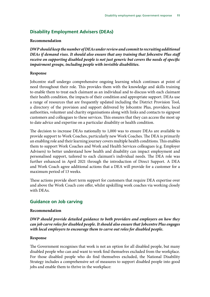# **Disability Employment Advisers (DEAs)**

#### **Recommendation**

*DWP should keep the number of DEAs under review and commit to recruiting additional DEAs if demand rises. It should also ensure that any training that Jobcentre Plus staff receive on supporting disabled people is not just generic but covers the needs of specific impairment groups, including people with invisible disabilities.*

#### **Response**

Jobcentre staff undergo comprehensive ongoing learning which continues at point of need throughout their role. This provides them with the knowledge and skills training to enable them to treat each claimant as an individual and to discuss with each claimant their health condition, the impacts of their condition and appropriate support. DEAs use a range of resources that are frequently updated including the District Provision Tool, a directory of the provision and support delivered by Jobcentre Plus, providers, local authorities, volunteer and charity organisations along with links and contacts to signpost customers and colleagues to these services. This ensures that they can access the most up to date advice and expertise on a particular disability or health condition.

The decision to increase DEAs nationally to 1,000 was to ensure DEAs are available to provide support to Work Coaches, particularly new Work Coaches. The DEA is primarily an enabling role and their learning journey covers multiple health conditions. This enables them to support Work Coaches and Work and Health Services colleagues (e.g. Employer Advisers) to better understand how health and disability can impact employment and personalised support, tailored to each claimant's individual needs. The DEA role was further enhanced in April 2021 through the introduction of Direct Support. A DEA and Work Coach agree additional actions that a DEA will provide for a customer for a maximum period of 13 weeks.

These actions provide short term support for customers that require DEA expertise over and above the Work Coach core offer, whilst upskilling work coaches via working closely with DEAs.

#### **Guidance on Job carving**

#### **Recommendation**

*DWP should provide detailed guidance to both providers and employers on how they can job carve roles for disabled people. It should also ensure that Jobcentre Plus engages with local employers to encourage them to carve out roles for disabled people.*

#### **Response**

The Government recognises that work is not an option for all disabled people, but many disabled people who can and want to work find themselves excluded from the workplace. For those disabled people who do find themselves excluded, the National Disability Strategy includes a comprehensive set of measures to support disabled people into good jobs and enable them to thrive in the workplace: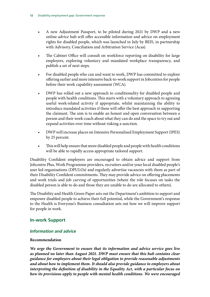- A new Adjustment Passport, to be piloted during 2021 by DWP and a new online advice hub will offer accessible information and advice on employment rights for disabled people, which was launched in July by BEIS, in partnership with Advisory, Conciliation and Arbitration Service (Acas).
- The Cabinet Office will consult on workforce reporting on disability for large employers, exploring voluntary and mandated workplace transparency, and publish a set of next steps.
- For disabled people who can and want to work, DWP has committed to explore offering earlier and more intensive back-to-work support in Jobcentres for people before their work capability assessment (WCA).
- DWP has rolled out a new approach to conditionality for disabled people and people with health conditions. This starts with a voluntary approach to agreeing useful work-related activity if appropriate, whilst maintaining the ability to introduce mandated activities if these will offer the best approach in supporting the claimant. The aim is to enable an honest and open conversation between a person and their work coach about what they can do and the space to try out and expand activities over time without risking a sanction.
- DWP will increase places on Intensive Personalised Employment Support (IPES) by 25 percent.
- This will help ensure that more disabled people and people with health conditions will be able to rapidly access appropriate tailored support.

Disability Confident employers are encouraged to obtain advice and support from Jobcentre Plus, Work Programme providers, recruiters and/or your local disabled people's user led organisations (DPULOs) and regularly advertise vacancies with them as part of their Disability Confident commitments. They may provide advice on offering placements and work trials and job carving of opportunities (where the role focuses on tasks the disabled person is able to do and those they are unable to do are allocated to others).

The Disability and Health Green Paper sets out the Department's ambition to support and empower disabled people to achieve their full potential, while the Government's response to the Health is Everyone's Business consultation sets out how we will improve support for people in work.

# **In-work Support**

#### *Information and advice*

#### **Recommendation**

*We urge the Government to ensure that its information and advice service goes live as planned no later than August 2021. DWP must ensure that this hub contains clear guidance for employers about their legal obligation to provide reasonable adjustments and about how to implement them. It should also provide guidance to employers about interpreting the definition of disability in the Equality Act, with a particular focus on how its provisions apply to people with mental health conditions. We were encouraged*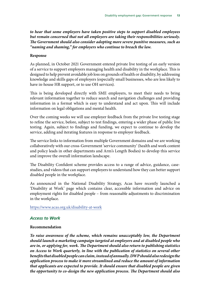*to hear that some employers have taken positive steps to support disabled employees but remain concerned that not all employers are taking their responsibilities seriously. The Government should also consider adopting more severe punitive measures, such as "naming and shaming," for employers who continue to breach the law.*

#### **Response**

As planned, in October 2021 Government entered private live testing of an early version of a service to support employers managing health and disability in the workplace. This is designed to help prevent avoidable job loss on grounds of health or disability, by addressing knowledge and skills gaps of employers (especially small businesses, who are less likely to have in-house HR support, or to use OH services).

This is being developed directly with SME employers, to meet their needs to bring relevant information together to reduce search and navigation challenges and providing information in a format which is easy to understand and act upon. This will include information on legal obligations and mental health.

Over the coming weeks we will use employer feedback from the private live testing stage to refine the service, before, subject to test findings, entering a wider phase of public live testing. Again, subject to findings and funding, we expect to continue to develop the service, adding and iterating features in response to employer feedback.

The service links to information from multiple Government domains and we are working collaboratively with our cross-Government 'service community' (health and work content and policy leads in other departments and Arm's Length Bodies) to develop this service and improve the overall information landscape.

The Disability Confident scheme provides access to a range of advice, guidance, casestudies, and videos that can support employers to understand how they can better support disabled people in the workplace.

As announced in the National Disability Strategy, Acas have recently launched a 'Disability at Work' page which contains clear, accessible information and advice on employment rights for disabled people – from reasonable adjustments to discrimination in the workplace.

<https://www.acas.org.uk/disability-at-work>

#### *Access to Work*

#### **Recommendation**

*To raise awareness of the scheme, which remains unacceptably low, the Department should launch a marketing campaign targeted at employers and at disabled people who are in, or applying for, work. The Department should also return to publishing statistics on Access to Work quarterly, in line with the publication of statistics on several other benefits that disabled people can claim, instead of annually. DWP should also redesign the application process to make it more streamlined and reduce the amount of information that applicants are expected to provide. It should ensure that disabled people are given the opportunity to co-design the new application process. The Department should also*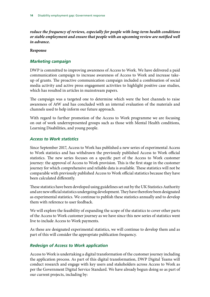*reduce the frequency of reviews, especially for people with long-term health conditions or stable employment and ensure that people with an upcoming review are notified well in advance.*

### **Response**

# *Marketing campaign*

DWP is committed to improving awareness of Access to Work. We have delivered a paid communication campaign to increase awareness of Access to Work and increase takeup of grants. The proactive communication campaign included a combination of social media activity and active press engagement activities to highlight positive case studies, which has resulted in articles in mainstream papers.

The campaign was a targeted one to determine which were the best channels to raise awareness of AtW and has concluded with an internal evaluation of the materials and channels used to help inform our future approach.

With regard to further promotion of the Access to Work programme we are focusing on out of work underrepresented groups such as those with Mental Health conditions, Learning Disabilities, and young people.

# *Access to Work statistics*

Since September 2017, Access to Work has published a new series of experimental Access to Work statistics and has withdrawn the previously published Access to Work official statistics. The new series focuses on a specific part of the Access to Work customer journey: the approval of Access to Work provision. This is the first stage in the customer journey for which comprehensive and reliable data is available. These statistics will not be comparable with previously published Access to Work official statistics because they have been calculated differently.

These statistics have been developed using guidelines set out by the UK Statistics Authority and are new official statistics undergoing development. They have therefore been designated as experimental statistics. We continue to publish these statistics annually and to develop them with reference to user feedback.

We will explore the feasibility of expanding the scope of the statistics to cover other parts of the Access to Work customer journey as we have since this new series of statistics went live to include Access to Work payments.

As these are designated experimental statistics, we will continue to develop them and as part of this will consider the appropriate publication frequency.

# *Redesign of Access to Work application*

Access to Work is undertaking a digital transformation of the customer journey including the application process. As part of this digital transformation, DWP Digital Teams will conduct research and engage with key users and stakeholders across Access to Work as per the Government Digital Service Standard. We have already begun doing so as part of our current projects, including by: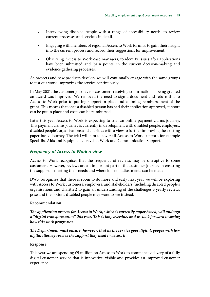- Interviewing disabled people with a range of accessibility needs, to review current processes and services in detail.
- Engaging with members of regional Access to Work forums, to gain their insight into the current process and record their suggestions for improvement.
- Observing Access to Work case managers, to identify issues after applications have been submitted and 'pain points' in the current decision-making and evidence gathering processes.

As projects and new products develop, we will continually engage with the same groups to test our work, improving the service continuously.

In May 2021, the customer journey for customers receiving confirmation of being granted an award was improved. We removed the need to sign a document and return this to Access to Work prior to putting support in place and claiming reimbursement of the grant. This means that once a disabled person has had their application approved, support can be put in place and costs can be reimbursed.

Later this year Access to Work is expecting to trial an online payment claims journey. This payment claims journey is currently in development with disabled people, employers, disabled people's organisations and charities with a view to further improving the existing paper-based journey. The trial will aim to cover all Access to Work support, for example Specialist Aids and Equipment, Travel to Work and Communication Support.

# *Frequency of Access to Work review*

Access to Work recognises that the frequency of reviews may be disruptive to some customers. However, reviews are an important part of the customer journey in ensuring the support is meeting their needs and where it is not adjustments can be made.

DWP recognises that there is room to do more and early next year we will be exploring with Access to Work customers, employers, and stakeholders (including disabled people's organisations and charities) to gain an understanding of the challenges 3 yearly reviews pose and the options disabled people may want to see instead.

#### **Recommendation**

*The application process for Access to Work, which is currently paper based, will undergo a "digital transformation" this year. This is long overdue, and we look forward to seeing how this work progresses.*

*The Department must ensure, however, that as the service goes digital, people with low digital literacy receive the support they need to access it.*

#### **Response**

This year we are spending £5 million on Access to Work to commence delivery of a fully digital customer service that is innovative, visible and provides an improved customer experience.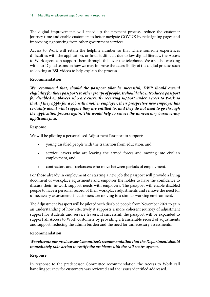The digital improvements will speed up the payment process, reduce the customer journey time and enable customers to better navigate GOV.UK by redesigning pages and improving signposting from other government services.

Access to Work will retain the helpline number so that where someone experiences difficulties with the application, or finds it difficult due to low digital literacy, the Access to Work agent can support them through this over the telephone. We are also working with our Digital teams on how we may improve the accessibility of the digital process such as looking at BSL videos to help explain the process.

# **Recommendation**

We recommend that, should the passport pilot be successful, DWP should extend *eligibility for these passports to other groups of people. It should also introduce a passport for disabled employees who are currently receiving support under Access to Work so that, if they apply for a job with another employer, their prospective new employer has certainty about what support they are entitled to, and they do not need to go through the application process again. This would help to reduce the unnecessary bureaucracy applicants face.*

# **Response**

We will be piloting a personalised Adjustment Passport to support:

- young disabled people with the transition from education, and
- service leavers who are leaving the armed forces and moving into civilian employment, and
- contractors and freelancers who move between periods of employment.

For those already in employment or starting a new job the passport will provide a living document of workplace adjustments and empower the holder to have the confidence to discuss their, in-work support needs with employers. The passport will enable disabled people to have a personal record of their workplace adjustments and remove the need for unnecessary assessments if customers are moving to a similar working environment.

The Adjustment Passport will be piloted with disabled people from November 2021 to gain an understanding of how effectively it supports a more coherent journey of adjustment support for students and service leavers. If successful, the passport will be expanded to support all Access to Work customers by providing a transferable record of adjustments and support, reducing the admin burden and the need for unnecessary assessments.

# **Recommendation**

# *We reiterate our predecessor Committee's recommendation that the Department should immediately take action to rectify the problems with the call centre system.*

# **Response**

In response to the predecessor Committee recommendation the Access to Work call handling journey for customers was reviewed and the issues identified addressed.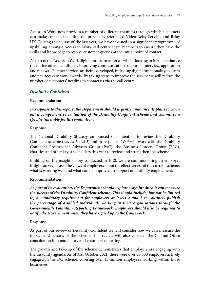Access to Work now provides a number of different channels through which customers can make contact, including the previously referenced Video Relay Service, and Relay UK. During the course of the last year, we have invested in a significant programme of upskilling amongst Access to Work call centre team members to ensure they have the skills and knowledge to resolve customer queries at the initial point of contact.

As part of the Access to Work digital transformation we will be looking to further enhance the online offer, including by improving communication support at interview, application and renewal. Further services are being developed, including digital functionality to claim and pay access to work awards. By taking steps to improve the service we will reduce the number of customers' needing to contact us via the call centre.

# *Disability Confident*

#### **Recommendation**

*In response to this report, the Department should urgently announce its plans to carry out a comprehensive evaluation of the Disability Confident scheme and commit to a specific timetable for this evaluation.*

#### **Response**

The National Disability Strategy announced our intention to review the Disability Confident scheme (Levels 2 and 3) and in response DWP will work with the Disability Confident Professional Advisers Group (PAG), the Business Leaders Group (BLG), charities and other key stakeholders this year to review and strengthen the scheme.

Building on the insight survey conducted in 2018, we are commissioning an employer insight survey to seek the views of employers about the effectiveness of the current scheme, what is working well and what can be improved in support of disability employment.

#### **Recommendation**

*As part of its evaluation, the Department should explore ways in which it can measure the success of the Disability Confident scheme. This should include, but not be limited to, a mandatory requirement for employers at levels 2 and 3 to routinely publish the percentage of disabled individuals working in their organisations through the Government's Voluntary Reporting Framework. Employers should also be required to notify the Government when they have signed up to the framework.*

#### **Response**

As part of our review of Disability Confident we will consider how we can measure the impact and success of the scheme. This review will also consider the Cabinet Office consultation into mandatory and voluntary reporting.

The growth and take-up of the scheme demonstrates that employers are engaging with the disability agenda. As of 31st October 2021, there were over 20,000 employers actively engaged in the DC scheme, covering over 11 million employees working within those businesses.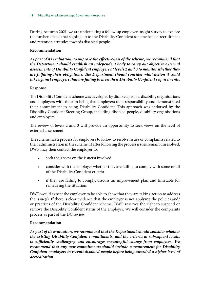During Autumn 2021, we are undertaking a follow-up employer insight survey to explore the further effects that signing up to the Disability Confident scheme has on recruitment and retention attitudes towards disabled people.

### **Recommendation**

*As part of its evaluation, to improve the effectiveness of the scheme, we recommend that the Department should establish an independent body to carry out objective external assessments of Disability Confident employers at levels 2 and 3 to monitor whether they are fulfilling their obligations. The Department should consider what action it could take against employers that are failing to meet their Disability Confident requirements.*

# **Response**

The Disability Confident scheme was developed by disabled people, disability organisations and employers with the aim being that employers took responsibility and demonstrated their commitment to being Disability Confident. This approach was endorsed by the Disability Confident Steering Group, including disabled people, disability organisations and employers.

The review of levels 2 and 3 will provide an opportunity to seek views on the level of external assessment.

The scheme has a process for employers to follow to resolve issues or complaints related to their administration in the scheme. If after following the process issues remain unresolved, DWP may then contact the employer to:

- seek their view on the issue(s) involved.
- consider with the employer whether they are failing to comply with some or all of the Disability Confident criteria.
- if they are failing to comply, discuss an improvement plan and timetable for remedying the situation.

DWP would expect the employer to be able to show that they are taking action to address the issue(s). If there is clear evidence that the employer is not applying the policies and/ or practices of the Disability Confident scheme, DWP reserves the right to suspend or remove the Disability Confident status of the employer. We will consider the complaints process as part of the DC review.

#### **Recommendation**

*As part of its evaluation, we recommend that the Department should consider whether the existing Disability Confident commitments, and the criteria at subsequent levels, is sufficiently challenging and encourages meaningful change from employers. We recommend that any new commitments should include a requirement for Disability Confident employers to recruit disabled people before being awarded a higher level of accreditation.*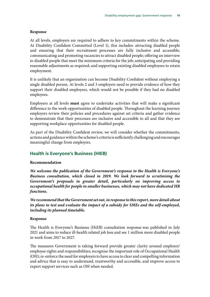At all levels, employers are required to adhere to key commitments within the scheme. At Disability Confident Committed (Level 1), this includes: attracting disabled people and ensuring that their recruitment processes are fully inclusive and accessible; communicating and promoting vacancies to attract disabled people; offering an interview to disabled people that meet the minimum criteria for the job; anticipating and providing reasonable adjustments as required; and supporting existing disabled employees to retain employment.

It is unlikely that an organisation can become Disability Confident without employing a single disabled person. At levels 2 and 3 employers need to provide evidence of how they support their disabled employees, which would not be possible if they had no disabled employees.

Employers at all levels **must** agree to undertake activities that will make a significant difference to the work-opportunities of disabled people. Throughout the learning journey employers review their policies and procedures against set criteria and gather evidence to demonstrate that their processes are inclusive and accessible to all and that they are supporting workplace opportunities for disabled people.

As part of the Disability Confident review, we will consider whether the commitments, actions and guidance within the scheme's criteria is sufficiently challenging and encourages meaningful change from employers.

#### **Health is Everyone's Business (HIEB)**

#### **Recommendation**

*We welcome the publication of the Government's response to the Health is Everyone's Business consultation, which closed in 2019. We look forward to scrutinising the Government's proposals in greater detail, particularly on improving access to occupational health for people in smaller businesses, which may not have dedicated HR functions.*

*We recommend that the Government set out, in response to this report, more detail about its plans to test and evaluate the impact of a subsidy for SMEs and the self-employed, including its planned timetable.*

#### **Response**

The Health is Everyone's Business (HiEB) consultation response was published in July 2021 and aims to reduce ill-health related job loss and see 1 million more disabled people in work from 2017 to 2027.

The measures Government is taking forward provide greater clarity around employer/ employee rights and responsibilities; recognise the important role of Occupational Health (OH); re-enforce the need for employers to have access to clear and compelling information and advice that is easy to understand, trustworthy and accessible, and improve access to expert support services such as OH when needed.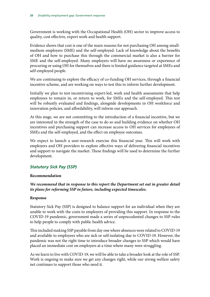Government is working with the Occupational Health (OH) sector to improve access to quality, cost effective, expert work and health support.

Evidence shows that cost is one of the main reasons for not purchasing OH among smallmedium employers (SME) and the self-employed. Lack of knowledge about the benefits of OH and how to purchase this through the commercial market is also a barrier for SME and the self-employed. Many employers will have no awareness or experience of procuring or using OH for themselves and there is limited guidance targeted at SMEs and self-employed people.

We are continuing to explore the efficacy of co-funding OH services, through a financial incentive scheme, and are working on ways to test this to inform further development.

Initially we plan to test incentivising expert-led, work and health assessments that help employees to remain in, or return to work, for SMEs and the self-employed. This test will be robustly evaluated and findings, alongside developments in OH workforce and innovation policies, and affordability, will inform our approach.

At this stage, we are not committing to the introduction of a financial incentive, but we are interested in the strength of the case to do so and building evidence on whether OH incentives and purchasing support can increase access to OH services for employees of SMEs and the self-employed, and the effect on employee outcomes.

We expect to launch a user-research exercise this financial year. This will work with employers and OH providers to explore effective ways of delivering financial incentives and support to navigate the market. These findings will be used to determine the further development.

# *Statutory Sick Pay (SSP)*

#### **Recommendation**

# *We recommend that in response to this report the Department set out in greater detail its plans for reforming SSP in future, including expected timescales.*

#### **Response**

Statutory Sick Pay (SSP) is designed to balance support for an individual when they are unable to work with the costs to employers of providing this support. In response to the COVID-19 pandemic, government made a series of unprecedented changes to SSP rules to help people to comply with public health advice.

This included making SSP payable from day one where absences were related to COVID-19 and available to employees who are sick or self-isolating due to COVID-19. However, the pandemic was not the right time to introduce broader changes to SSP which would have placed an immediate cost on employers at a time where many were struggling.

As we learn to live with COVID-19, we will be able to take a broader look at the role of SSP. Work is ongoing to make sure we get any changes right, while our strong welfare safety net continues to support those who need it.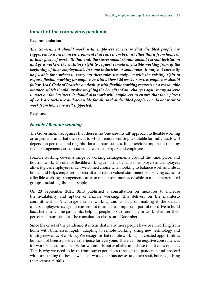# **Impact of the coronavirus pandemic**

#### **Recommendation**

*The Government should work with employers to ensure that disabled people are supported to work in an environment that suits them best: whether this is from home or at their place of work. To that end, the Government should amend current legislation and give workers the statutory right to request remote or flexible working from of the beginning of their employment. In some industries or some roles, it may not currently be feasible for workers to carry out their roles remotely. As with the existing right to request flexible working for employees with at least 26 weeks' service, employers should follow Acas' Code of Practice on dealing with flexible working requests in a reasonable manner, which should involve weighing the benefits of any changes against any adverse impact on the business. It should also work with employers to ensure that their places of work are inclusive and accessible for all, so that disabled people who do not want to work from home are well supported.*

#### **Response**

#### *Flexible / Remote working*

The Government recognises that there is no 'one size-fits-all' approach to flexible working arrangements and that the extent to which remote working is suitable for individuals will depend on personal and organisational circumstances. It is therefore important that any such arrangements are discussed between employers and employees.

Flexible working covers a range of working arrangements around the time, place, and hours of work. The offer of flexible working can bring benefits to employers and employees alike: it gives employees much-welcomed choice when looking to balance work and life at home; and helps employers to recruit and retain valued staff members. Having access to a flexible working arrangement can also make work more accessible to under-represented groups, including disabled people.

On 23 September 2021, BEIS published a consultation on measures to increase the availability and uptake of flexible working. This delivers on the manifesto commitment to 'encourage flexible working and consult on making it the default unless employers have good reasons not to' and is an important part of our drive to build back better after the pandemic, helping people to start and stay in work whatever their personal circumstances. The consultation closes on 1 December.

Since the onset of the pandemic, it is true that many more people have been working from home with businesses rapidly adapting to remote working, using new technology and finding new ways of working. We recognise that remote working has created opportunities but has not been a positive experience for everyone. There can be negative consequences for workplace culture, people for whom it is not available and those that it does not suit. That is why we need to learn from our experiences through the pandemic and proceed with care, taking the best of what has worked for businesses and their staff, but recognising the potential pitfalls.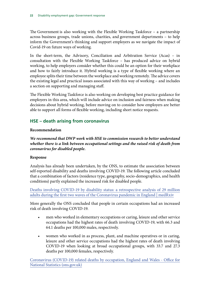The Government is also working with the Flexible Working Taskforce – a partnership across business groups, trade unions, charities, and government departments – to help inform the Government's thinking and support employers as we navigate the impact of Covid-19 on future ways of working.

In the short-term, the Advisory, Conciliation and Arbitration Service (Acas) – in consultation with the Flexible Working Taskforce – has produced advice on hybrid working, to help employers consider whether this could be an option for their workplace and how to fairly introduce it. Hybrid working is a type of flexible working where an employee splits their time between the workplace and working remotely. The advice covers the existing legal and practical issues associated with this way of working – and includes a section on supporting and managing staff.

The Flexible Working Taskforce is also working on developing best practice guidance for employers in this area, which will include advice on inclusion and fairness when making decisions about hybrid working, before moving on to consider how employers are better able to support all forms of flexible working, including short notice requests.

# **HSE – death arising from coronavirus**

# **Recommendation**

*We recommend that DWP work with HSE to commission research to better understand whether there is a link between occupational settings and the raised risk of death from coronavirus for disabled people.*

#### **Response**

Analysis has already been undertaken, by the ONS, to estimate the association between self-reported disability and deaths involving COVID-19. The following article concluded that a combination of factors (residence type, geography, socio-demographics, and health conditions) partly explained the increased risk for disabled people.

[Deaths involving COVID-19 by disability status: a retrospective analysis of 29 million](https://www.medrxiv.org/content/10.1101/2021.06.10.21258693v1) [adults during the first two waves of the Coronavirus pandemic in England | medRxiv](https://www.medrxiv.org/content/10.1101/2021.06.10.21258693v1)

More generally the ONS concluded that people in certain occupations had an increased risk of death involving COVID-19.

- men who worked in elementary occupations or caring, leisure and other service occupations had the highest rates of death involving COVID-19, with 66.3 and 64.1 deaths per 100,000 males, respectively.
- women who worked in as process, plant, and machine operatives or in caring, leisure and other service occupations had the highest rates of death involving COVID-19 when looking at broad occupational groups, with 33.7 and 27.3 deaths per 100,000 females, respectively.

[Coronavirus \(COVID-19\) related deaths by occupation, England and Wales - Office for](https://www.ons.gov.uk/peoplepopulationandcommunity/healthandsocialcare/causesofdeath/bulletins/coronaviruscovid19relateddeathsbyoccupationenglandandwales/deathsregisteredbetween9marchand28december2020#:~:text=During%20the%20period%20of%20the,61.5%25%20(1%2C742%20deaths).) [National Statistics \(ons.gov.uk\)](https://www.ons.gov.uk/peoplepopulationandcommunity/healthandsocialcare/causesofdeath/bulletins/coronaviruscovid19relateddeathsbyoccupationenglandandwales/deathsregisteredbetween9marchand28december2020#:~:text=During%20the%20period%20of%20the,61.5%25%20(1%2C742%20deaths).)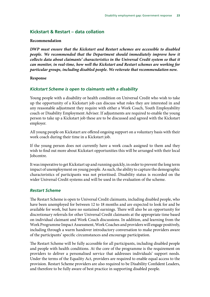# **Kickstart & Restart – data collation**

#### **Recommendation**

*DWP must ensure that the Kickstart and Restart schemes are accessible to disabled people. We recommended that the Department should immediately improve how it collects data about claimants' characteristics in the Universal Credit system so that it can monitor, in real-time, how well the Kickstart and Restart schemes are working for particular groups, including disabled people. We reiterate that recommendation now.*

#### **Response**

#### *Kickstart Scheme is open to claimants with a disability*

Young people with a disability or health condition on Universal Credit who wish to take up the opportunity of a Kickstart job can discuss what roles they are interested in and any reasonable adjustment they require with either a Work Coach, Youth Employability coach or Disability Employment Adviser. If adjustments are required to enable the young person to take up a Kickstart job these are to be discussed and agreed with the Kickstart employer.

All young people on Kickstart are offered ongoing support on a voluntary basis with their work coach during their time in a Kickstart job.

If the young person does not currently have a work coach assigned to them and they wish to find out more about Kickstart opportunities this will be arranged with their local Jobcentre.

It was imperative to get Kickstart up and running quickly, in order to prevent the long term impact of unemployment on young people. As such, the ability to capture the demographic characteristics of participants was not prioritised. Disability status is recorded on the wider Universal Credit systems and will be used in the evaluation of the scheme.

#### *Restart Scheme*

The Restart Scheme is open to Universal Credit claimants, including disabled people, who have been unemployed for between 12 to 18 months and are expected to look for and be available for work, but have no sustained earnings. There will also be an opportunity for discretionary referrals for other Universal Credit claimants at the appropriate time based on individual claimant and Work Coach discussions. In addition, and learning from the Work Programme Impact Assessment, Work Coaches and providers will engage positively, including through a warm handover introductory conversation to make providers aware of the participants' specific circumstances and encourage participation.

The Restart Scheme will be fully accessible for all participants, including disabled people and people with health conditions. At the core of the programme is the requirement on providers to deliver a personalised service that addresses individuals' support needs. Under the terms of the Equality Act, providers are required to enable equal access to the provision. Restart Scheme providers are also required to be Disability Confident Leaders, and therefore to be fully aware of best practice in supporting disabled people.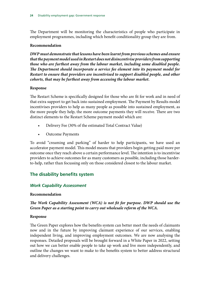The Department will be monitoring the characteristics of people who participate in employment programmes, including which benefit conditionality group they are from.

#### **Recommendation**

*DWP must demonstrate that lessons have been learnt from previous schemes and ensure that the payment model used in Restart does not disincentivise providers from supporting those who are furthest away from the labour market, including some disabled people. The Department should incorporate a service fee element into its payment model for Restart to ensure that providers are incentivised to support disabled people, and other cohorts, that may be furthest away from accessing the labour market.*

#### **Response**

The Restart Scheme is specifically designed for those who are fit for work and in need of that extra support to get back into sustained employment. The Payment by Results model incentivises providers to help as many people as possible into sustained employment, as the more people they help, the more outcome payments they will receive. There are two distinct elements to the Restart Scheme payment model which are:

- Delivery Fee (30% of the estimated Total Contract Value)
- Outcome Payments

To avoid "creaming and parking" of harder to help participants, we have used an accelerator payment model. This model means that providers begin getting paid more per outcome once they reach above a certain performance level. The intention is to incentivise providers to achieve outcomes for as many customers as possible, including those harderto-help, rather than focussing only on those considered closest to the labour market.

# **The disability benefits system**

# *Work Capability Assessment*

#### **Recommendation**

# *The Work Capability Assessment (WCA) is not fit for purpose. DWP should use the Green Paper as a starting point to carry out wholesale reform of the WCA.*

#### **Response**

The Green Paper explores how the benefits system can better meet the needs of claimants now and in the future by improving claimant experience of our services, enabling independent living, and improving employment outcomes. We are now analysing the responses. Detailed proposals will be brought forward in a White Paper in 2022, setting out how we can better enable people to take up work and live more independently, and outline the changes we want to make to the benefits system to better address structural and delivery challenges.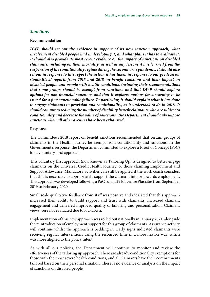#### *Sanctions*

#### **Recommendation**

*DWP should set out the evidence in support of its new sanction approach, what involvement disabled people had in developing it, and what plans it has to evaluate it. It should also provide its most recent evidence on the impact of sanctions on disabled claimants, including on their mortality, as well as any lessons it has learned from the suspension of the conditionality regime during the coronavirus pandemic. It should also set out in response to this report the action it has taken in response to our predecessor Committees' reports from 2015 and 2018 on benefit sanctions and their impact on disabled people and people with health conditions, including their recommendations that some groups should be exempt from sanctions and that DWP should explore options for non-financial sanctions and that it explores options for a warning to be issued for a first sanctionable failure. In particular, it should explain what it has done to engage claimants in provision and conditionality, as it undertook to do in 2018. It should commit to reducing the number of disability benefit claimants who are subject to conditionality and decrease the value of sanctions. The Department should only impose sanctions when all other avenues have been exhausted.*

#### **Response**

The Committee's 2018 report on benefit sanctions recommended that certain groups of claimants in the Health Journey be exempt from conditionality and sanctions. In the Government's response, the Department committed to explore a Proof of Concept (PoC) for a voluntary-first approach.

This voluntary first approach (now known as Tailoring Up) is designed to better engage claimants on the Universal Credit Health Journey, or those claiming Employment and Support Allowance. Mandatory activities can still be applied if the work coach considers that this is necessary to appropriately support the claimant into or towards employment. This approach was developed following a PoC run in 29 Jobcentre Plus sites from September 2019 to February 2020.

Small scale qualitative feedback from staff was positive and indicated that this approach increased their ability to build rapport and trust with claimants; increased claimant engagement and delivered improved quality of tailoring and personalisation. Claimant views were not evaluated due to lockdown.

Implementation of this new approach was rolled out nationally in January 2021, alongside the reintroduction of employment support for this group of claimants. Assurance activity will continue whilst the approach is bedding in. Early signs indicated claimants were receiving regular interventions using the resourced time in a more flexible way, which was more aligned to the policy intent.

As with all our policies, the Department will continue to monitor and review the effectiveness of the tailoring up approach. There are already conditionality exemptions for those with the most severe health conditions; and all claimants have their commitments tailored based on their personal situation. There is no evidence or analysis on the impact of sanctions on disabled people.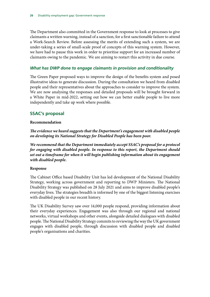The Department also committed in the Government response to look at processes to give claimants a written warning, instead of a sanction, for a first sanctionable failure to attend a Work-Search Review. Before assessing the merits of extending such a system, we are under-taking a series of small-scale proof of concepts of this warning system. However, we have had to pause this work in order to prioritise support for an increased number of claimants owing to the pandemic. We are aiming to restart this activity in due course.

# *What has DWP done to engage claimants in provision and conditionality*

The Green Paper proposed ways to improve the design of the benefits system and posed illustrative ideas to generate discussion. During the consultation we heard from disabled people and their representatives about the approaches to consider to improve the system. We are now analysing the responses and detailed proposals will be brought forward in a White Paper in mid-2022, setting out how we can better enable people to live more independently and take up work where possible.

# **SSAC's proposal**

# **Recommendation**

*The evidence we heard suggests that the Department's engagement with disabled people on developing its National Strategy for Disabled People has been poor.*

*We recommend that the Department immediately accept SSAC's proposal for a protocol for engaging with disabled people. In response to this report, the Department should set out a timeframe for when it will begin publishing information about its engagement with disabled people.*

#### **Response**

The Cabinet Office based Disability Unit has led development of the National Disability Strategy, working across government and reporting to DWP Ministers. The National Disability Strategy was published on 28 July 2021 and aims to improve disabled people's everyday lives. The strategies breadth is informed by one of the biggest listening exercises with disabled people in our recent history.

The UK Disability Survey saw over 14,000 people respond, providing information about their everyday experiences. Engagement was also through our regional and national networks, virtual workshops and other events, alongside detailed dialogues with disabled people. The National Disability Strategy commits to reviewing the way the UK government engages with disabled people, through discussion with disabled people and disabled people's organisations and charities.